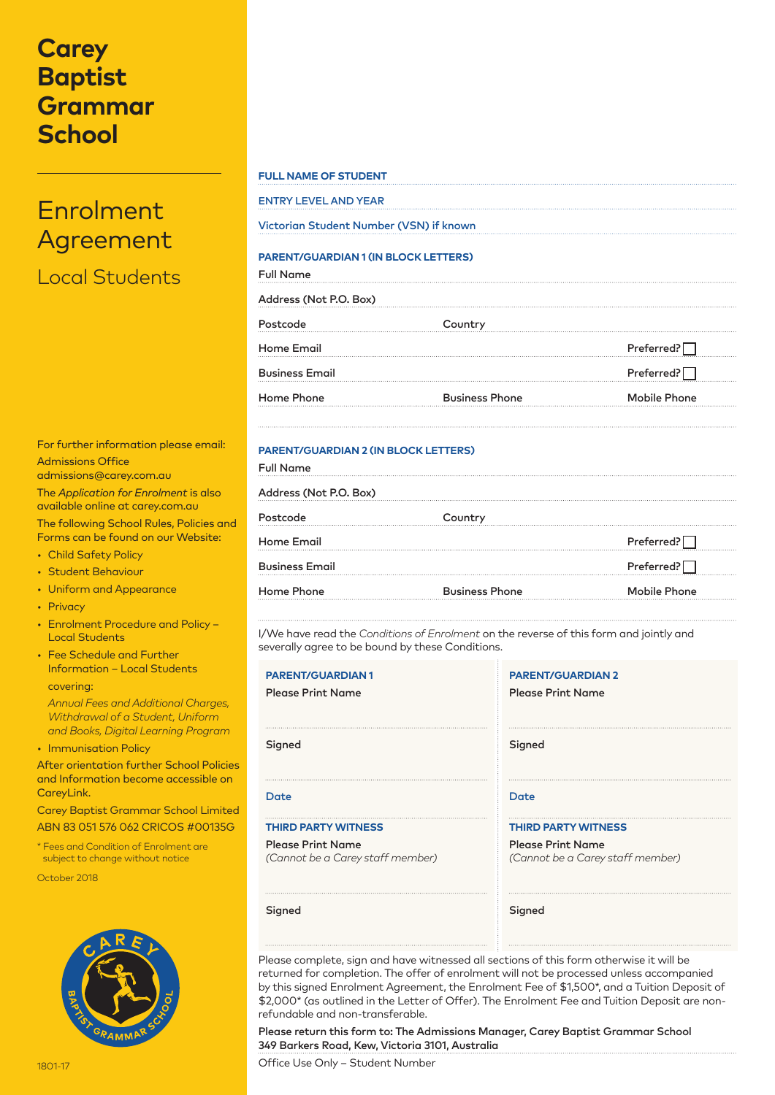## **Carey Baptist Grammar School**

# Enrolment Agreement

Local Students

| For further information please email:                                          |
|--------------------------------------------------------------------------------|
| <b>Admissions Office</b><br>admissions@carey.com.au                            |
| The Application for Enrolment is also<br>available online at carey.com.au      |
| The following School Rules, Policies and<br>Forms can be found on our Website: |

- Child Safety Policy
- Student Behaviour
- Uniform and Appearance
- Privacy
- Enrolment Procedure and Policy Local Students
- Fee Schedule and Further Information – Local Students covering:
- *Annual Fees and Additional Charges, Withdrawal of a Student, Uniform and Books, Digital Learning Program*
- Immunisation Policy

After orientation further School Policies and Information become accessible on CareyLink.

Carey Baptist Grammar School Limited ABN 83 051 576 062 CRICOS #00135G

\* Fees and Condition of Enrolment are subject to change without notice

October 2018



## **FULL NAME OF STUDENT**

| <b>ENTRY LEVEL AND YEAR</b>             |  |  |
|-----------------------------------------|--|--|
| Victorian Student Number (VSN) if known |  |  |

## **PARENT/GUARDIAN 1 (IN BLOCK LETTERS)**

| <b>Full Name</b><br>Address (Not P.O. Box) |                       |                     |  |  |
|--------------------------------------------|-----------------------|---------------------|--|--|
|                                            |                       |                     |  |  |
| <b>Home Email</b>                          |                       | Preferred?          |  |  |
| <b>Business Email</b>                      |                       | Preferred?          |  |  |
| Home Phone                                 | <b>Business Phone</b> | <b>Mobile Phone</b> |  |  |
|                                            |                       |                     |  |  |

## **PARENT/GUARDIAN 2 (IN BLOCK LETTERS)**

| Country               |                     |
|-----------------------|---------------------|
|                       | Preferred?          |
|                       | Preferred?          |
| <b>Business Phone</b> | <b>Mobile Phone</b> |
|                       |                     |

I/We have read the *Conditions of Enrolment* on the reverse of this form and jointly and severally agree to be bound by these Conditions.

| <b>PARENT/GUARDIAN1</b>          | <b>PARENT/GUARDIAN 2</b>         |  |
|----------------------------------|----------------------------------|--|
| <b>Please Print Name</b>         | <b>Please Print Name</b>         |  |
| Signed                           | Signed                           |  |
| Date                             | Date                             |  |
| <b>THIRD PARTY WITNESS</b>       | <b>THIRD PARTY WITNESS</b>       |  |
| <b>Please Print Name</b>         | <b>Please Print Name</b>         |  |
| (Cannot be a Carey staff member) | (Cannot be a Carey staff member) |  |
| Signed                           | Signed                           |  |

Please complete, sign and have witnessed all sections of this form otherwise it will be returned for completion. The offer of enrolment will not be processed unless accompanied by this signed Enrolment Agreement, the Enrolment Fee of \$1,500\*, and a Tuition Deposit of \$2,000\* (as outlined in the Letter of Offer). The Enrolment Fee and Tuition Deposit are nonrefundable and non-transferable.

Please return this form to: The Admissions Manager, Carey Baptist Grammar School 349 Barkers Road, Kew, Victoria 3101, Australia

Office Use Only – Student Number